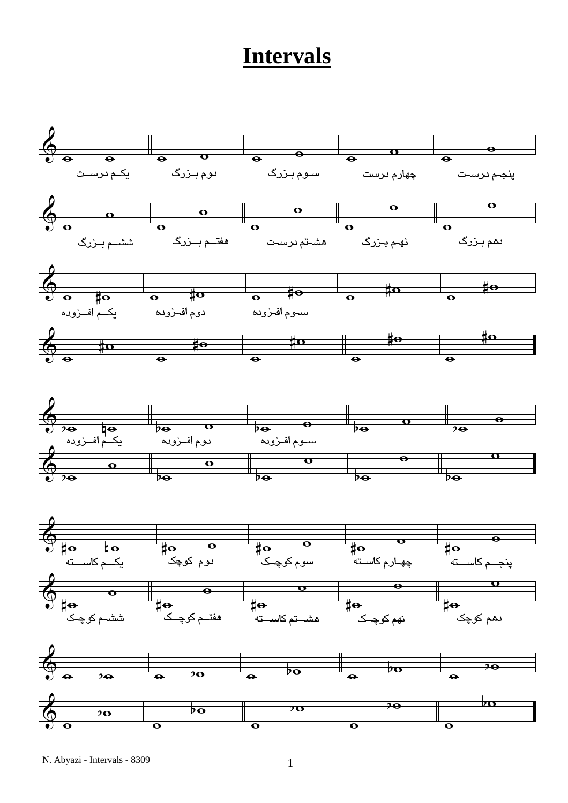## **Intervals**